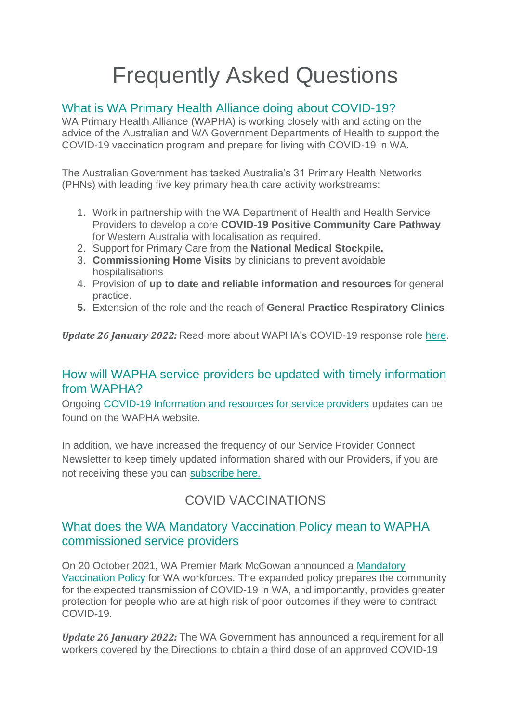# Frequently Asked Questions

# What is WA Primary Health Alliance doing about COVID-19?

WA Primary Health Alliance (WAPHA) is working closely with and acting on the advice of the Australian and WA Government Departments of Health to support the COVID-19 vaccination program and prepare for living with COVID-19 in WA.

The Australian Government has tasked Australia's 31 Primary Health Networks (PHNs) with leading five key primary health care activity workstreams:

- 1. Work in partnership with the WA Department of Health and Health Service Providers to develop a core **COVID-19 Positive Community Care Pathway**  for Western Australia with localisation as required.
- 2. Support for Primary Care from the **National Medical Stockpile.**
- 3. **Commissioning Home Visits** by clinicians to prevent avoidable hospitalisations
- 4. Provision of **up to date and reliable information and resources** for general practice.
- **5.** Extension of the role and the reach of **General Practice Respiratory Clinics**

*Update 26 January 2022:* Read more about WAPHA's COVID-19 response role [here.](https://www.wapha.org.au/health-professionals/coronavirus-news/)

#### How will WAPHA service providers be updated with timely information from WAPHA?

Ongoing [COVID-19 Information and resources for service providers](https://www.wapha.org.au/service-providers/covid-19-information-resources-for-service-providers/) updates can be found on the WAPHA website.

In addition, we have increased the frequency of our Service Provider Connect Newsletter to keep timely updated information shared with our Providers, if you are not receiving these you can [subscribe here.](https://news.wapha.org.au/subscribe-to-the-commissioned-service-provider-update/)

# COVID VACCINATIONS

# What does the WA Mandatory Vaccination Policy mean to WAPHA commissioned service providers

On 20 October 2021, WA Premier Mark McGowan announced a [Mandatory](https://ww2.health.wa.gov.au/Articles/A_E/Coronavirus/COVID19-vaccination-program/Mandatory-COVID19-vaccination)  [Vaccination Policy](https://ww2.health.wa.gov.au/Articles/A_E/Coronavirus/COVID19-vaccination-program/Mandatory-COVID19-vaccination) for WA workforces. The expanded policy prepares the community for the expected transmission of COVID-19 in WA, and importantly, provides greater protection for people who are at high risk of poor outcomes if they were to contract COVID-19.

*Update 26 January 2022:* The WA Government has announced a requirement for all workers covered by the Directions to obtain a third dose of an approved COVID-19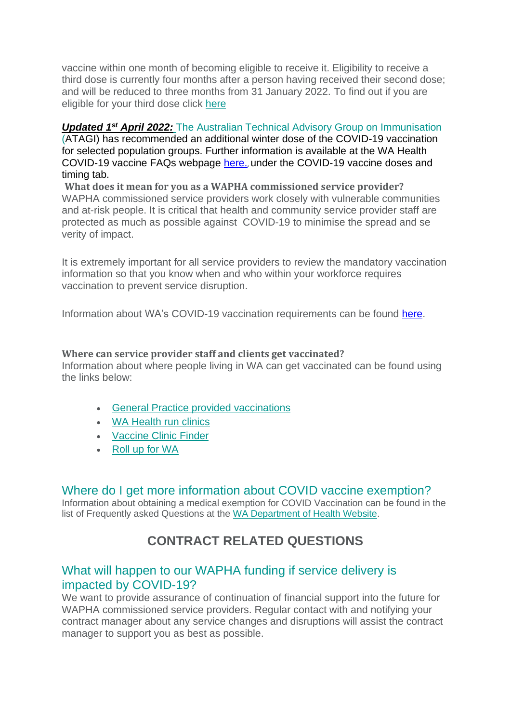vaccine within one month of becoming eligible to receive it. Eligibility to receive a third dose is currently four months after a person having received their second dose; and will be reduced to three months from 31 January 2022. To find out if you are eligible for your third dose click [here](https://rollup.wa.gov.au/)

#### *Updated 1st April 2022:* The Australian Technical Advisory Group on Immunisation

(ATAGI) has recommended an additional winter dose of the COVID-19 vaccination for selected population groups. Further information is available at the WA Health COVID-19 vaccine FAQs webpage [here.](https://www.healthywa.wa.gov.au/COVID19vaccineFAQs), under the COVID-19 vaccine doses and timing tab.

**What does it mean for you as a WAPHA commissioned service provider?** WAPHA commissioned service providers work closely with vulnerable communities and at-risk people. It is critical that health and community service provider staff are protected as much as possible against COVID-19 to minimise the spread and se verity of impact.

It is extremely important for all service providers to review the mandatory vaccination information so that you know when and who within your workforce requires vaccination to prevent service disruption.

Information about WA's COVID-19 vaccination requirements can be found [here.](https://ww2.health.wa.gov.au/Articles/A_E/Coronavirus/COVID19-vaccination-program/Mandatory-COVID19-vaccination)

#### **Where can service provider staff and clients get vaccinated?**

Information about where people living in WA can get vaccinated can be found using the links below:

- [General Practice provided vaccinations](https://linkprotect.cudasvc.com/url?a=https%3a%2f%2fwapha.us11.list-manage.com%2ftrack%2fclick%3fu%3dc973db7b85e56f4c3d0eaacee%26id%3d2f181b3bd3%26e%3d21b15b842a&c=E,1,s2atvFH-E99MrEkPm-RWRKASNbkPPaRLyMyeq596L5TpoMlhs2_uQoTr3ECk7AjY3iBZc5zq6ORjOHJZJYY_Kw8Ew3Wkjj9SCm6ILZIUAeA-GYj0QcyiXHW0&typo=1)
- [WA Health run clinics](https://linkprotect.cudasvc.com/url?a=https%3a%2f%2fwapha.us11.list-manage.com%2ftrack%2fclick%3fu%3dc973db7b85e56f4c3d0eaacee%26id%3da8d2c8d3f4%26e%3d21b15b842a&c=E,1,bbUmseTajqeMvQA5j1IqIxnRWSy3YSaMULU29rvvcT_l135qtJTk-qcrgctIJbnQyQ-hE30HV7EO8h6DapqEeVglvZ6SuPp85SfoKBrfhB14TlBv&typo=1)
- [Vaccine Clinic Finder](https://covid-vaccine.healthdirect.gov.au/booking/)
- [Roll up for WA](https://rollup.wa.gov.au/)

#### Where do I get more information about COVID vaccine exemption?

Information about obtaining a medical exemption for COVID Vaccination can be found in the list of Frequently asked Questions at the [WA Department of Health Website.](https://ww2.health.wa.gov.au/Articles/A_E/Coronavirus/COVID19-vaccination-program/Directions-for-healthcare-and-health-support-workers/FAQ#exemption)

# **CONTRACT RELATED QUESTIONS**

#### What will happen to our WAPHA funding if service delivery is impacted by COVID-19?

We want to provide assurance of continuation of financial support into the future for WAPHA commissioned service providers. Regular contact with and notifying your contract manager about any service changes and disruptions will assist the contract manager to support you as best as possible.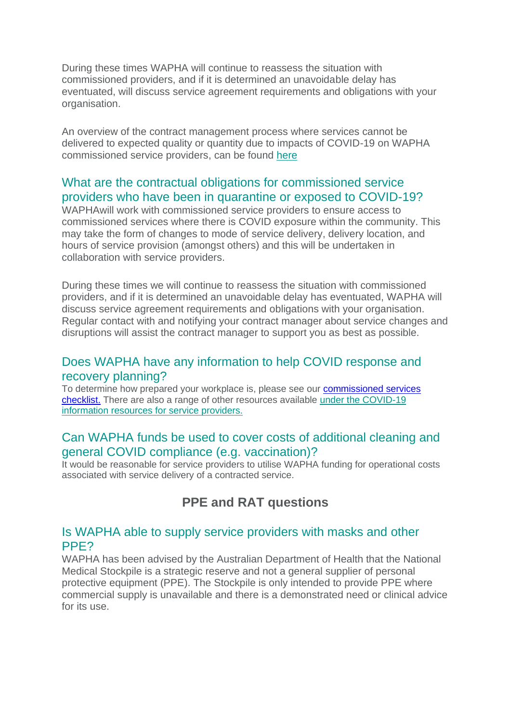During these times WAPHA will continue to reassess the situation with commissioned providers, and if it is determined an unavoidable delay has eventuated, will discuss service agreement requirements and obligations with your organisation.

An overview of the contract management process where services cannot be delivered to expected quality or quantity due to impacts of COVID-19 on WAPHA commissioned service providers, can be found [here](https://www.wapha.org.au/wp-content/uploads/2022/02/220126-Service-Provider-Process-Map-service-delivery-issues-FINAL-40222.pdf)

## What are the contractual obligations for commissioned service providers who have been in quarantine or exposed to COVID-19?

WAPHAwill work with commissioned service providers to ensure access to commissioned services where there is COVID exposure within the community. This may take the form of changes to mode of service delivery, delivery location, and hours of service provision (amongst others) and this will be undertaken in collaboration with service providers.

During these times we will continue to reassess the situation with commissioned providers, and if it is determined an unavoidable delay has eventuated, WAPHA will discuss service agreement requirements and obligations with your organisation. Regular contact with and notifying your contract manager about service changes and disruptions will assist the contract manager to support you as best as possible.

## Does WAPHA have any information to help COVID response and recovery planning?

To determine how prepared your workplace is, please see our [commissioned services](https://www.wapha.org.au/wp-content/uploads/2022/01/COVID-19-Checklist.pdf)  [checklist.](https://www.wapha.org.au/wp-content/uploads/2022/01/COVID-19-Checklist.pdf) There are also a range of other resources available [under the COVID-19](https://www.wapha.org.au/service-providers/covid-19-information-resources-for-service-providers/)  [information resources for service providers.](https://www.wapha.org.au/service-providers/covid-19-information-resources-for-service-providers/)

## Can WAPHA funds be used to cover costs of additional cleaning and general COVID compliance (e.g. vaccination)?

It would be reasonable for service providers to utilise WAPHA funding for operational costs associated with service delivery of a contracted service.

# **PPE and RAT questions**

#### Is WAPHA able to supply service providers with masks and other PPE?

WAPHA has been advised by the Australian Department of Health that the National Medical Stockpile is a strategic reserve and not a general supplier of personal protective equipment (PPE). The Stockpile is only intended to provide PPE where commercial supply is unavailable and there is a demonstrated need or clinical advice for its use.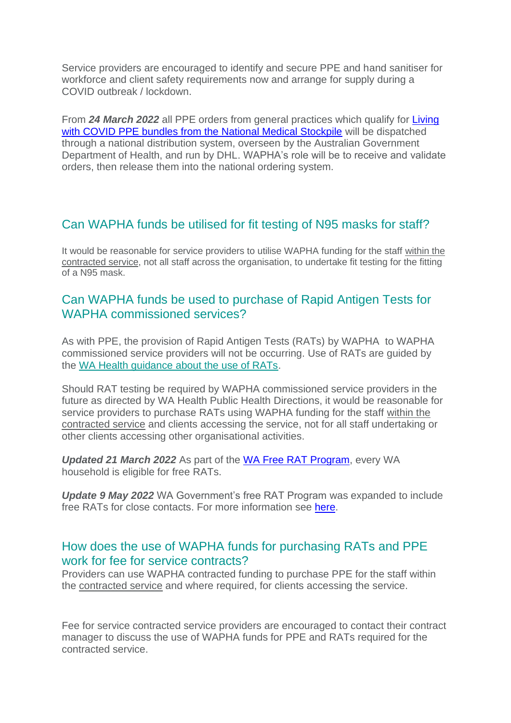Service providers are encouraged to identify and secure PPE and hand sanitiser for workforce and client safety requirements now and arrange for supply during a COVID outbreak / lockdown.

From *24 March 2022* all PPE orders from general practices which qualify for [Living](https://www.practiceassist.com.au/Coronavirus-COVID19/COVID-19-Landing-page)  [with COVID PPE bundles from the National Medical Stockpile](https://www.practiceassist.com.au/Coronavirus-COVID19/COVID-19-Landing-page) will be dispatched through a national distribution system, overseen by the Australian Government Department of Health, and run by DHL. WAPHA's role will be to receive and validate orders, then release them into the national ordering system.

# Can WAPHA funds be utilised for fit testing of N95 masks for staff?

It would be reasonable for service providers to utilise WAPHA funding for the staff within the contracted service, not all staff across the organisation, to undertake fit testing for the fitting of a N95 mask.

# Can WAPHA funds be used to purchase of Rapid Antigen Tests for WAPHA commissioned services?

As with PPE, the provision of Rapid Antigen Tests (RATs) by WAPHA to WAPHA commissioned service providers will not be occurring. Use of RATs are guided by the [WA Health guidance about the use of RATs.](https://ww2.health.wa.gov.au/~/media/Corp/Documents/Health-for/Infectious-disease/COVID19/COVID19-Clinician-Alert-WA-77.pdf)

Should RAT testing be required by WAPHA commissioned service providers in the future as directed by WA Health Public Health Directions, it would be reasonable for service providers to purchase RATs using WAPHA funding for the staff within the contracted service and clients accessing the service, not for all staff undertaking or other clients accessing other organisational activities.

*Updated 21 March 2022* As part of the [WA Free RAT Program,](https://www.wa.gov.au/government/covid-19-coronavirus/covid-19-coronavirus-wa-free-rat-program) every WA household is eligible for free RATs.

*Update 9 May 2022* WA Government's free RAT Program was expanded to include free RATs for close contacts. For more information see [here.](https://www.wa.gov.au/government/covid-19-coronavirus/covid-19-coronavirus-wa-free-rat-program)

#### How does the use of WAPHA funds for purchasing RATs and PPE work for fee for service contracts?

Providers can use WAPHA contracted funding to purchase PPE for the staff within the contracted service and where required, for clients accessing the service.

Fee for service contracted service providers are encouraged to contact their contract manager to discuss the use of WAPHA funds for PPE and RATs required for the contracted service.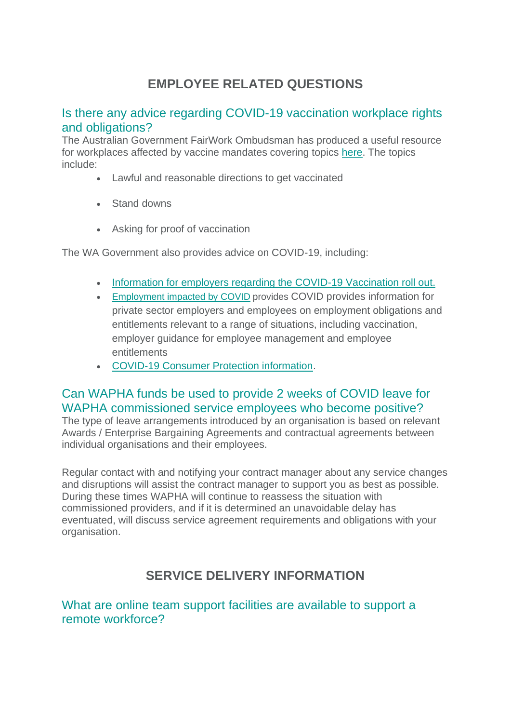# **EMPLOYEE RELATED QUESTIONS**

# Is there any advice regarding COVID-19 vaccination workplace rights and obligations?

The Australian Government FairWork Ombudsman has produced a useful resource for workplaces affected by vaccine mandates covering topics [here.](https://linkprotect.cudasvc.com/url?a=https%3a%2f%2fwapha.us11.list-manage.com%2ftrack%2fclick%3fu%3dc973db7b85e56f4c3d0eaacee%26id%3d6d76892fb8%26e%3d21b15b842a&c=E,1,jrgZkgfVtBWdYokqgAVCIhnraq7Dd7N6cbt6af3SaidiG5dsVkU_TJVkWrcsPbF1npxgiy3qzlL-3wQUE02A4_dwDHC8Rc4xEcjv_GApn_43QepRfA,,&typo=1) The topics include:

- Lawful and reasonable directions to get vaccinated
- Stand downs
- Asking for proof of vaccination

The WA Government also provides advice on COVID-19, including:

- [Information for employers regarding the COVID-19 Vaccination roll out.](https://www.commerce.wa.gov.au/worksafe/covid-19-vaccination-rollout-information-employers)
- [Employment impacted by COVID](https://www.commerce.wa.gov.au/labour-relations/employment-impacted-covid-19-coronavirus) provides COVID provides information for private sector employers and employees on employment obligations and entitlements relevant to a range of situations, including vaccination, employer guidance for employee management and employee entitlements
- [COVID-19 Consumer Protection information.](https://www.commerce.wa.gov.au/consumer-protection/covid-19-coronavirus-consumer-protection-faq)

# Can WAPHA funds be used to provide 2 weeks of COVID leave for WAPHA commissioned service employees who become positive?

The type of leave arrangements introduced by an organisation is based on relevant Awards / Enterprise Bargaining Agreements and contractual agreements between individual organisations and their employees.

Regular contact with and notifying your contract manager about any service changes and disruptions will assist the contract manager to support you as best as possible. During these times WAPHA will continue to reassess the situation with commissioned providers, and if it is determined an unavoidable delay has eventuated, will discuss service agreement requirements and obligations with your organisation.

# **SERVICE DELIVERY INFORMATION**

What are online team support facilities are available to support a remote workforce?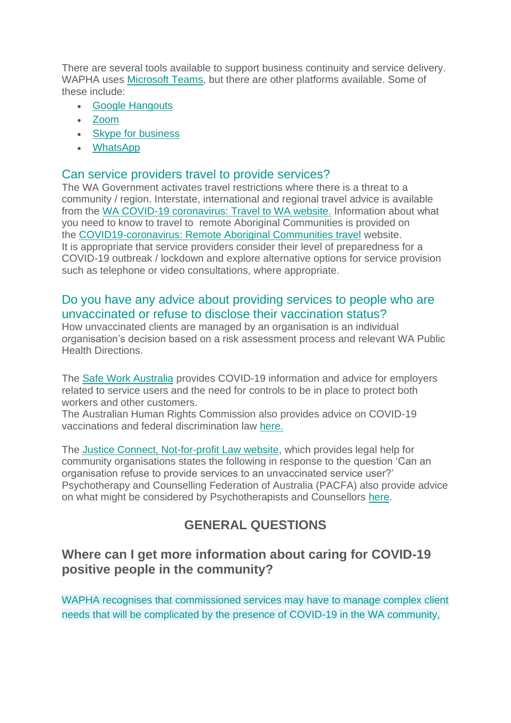There are several tools available to support business continuity and service delivery. WAPHA uses [Microsoft Teams,](https://products.office.com/en-au/microsoft-teams/group-chat-software) but there are other platforms available. Some of these include:

- [Google Hangouts](https://chrome.google.com/webstore/detail/google-hangouts/knipolnnllmklapflnccelgolnpehhpl)
- [Zoom](https://zoom.us/)
- [Skype for business](https://www.skype.com/en/business/)
- [WhatsApp](https://www.whatsapp.com/)

#### Can service providers travel to provide services?

The WA Government activates travel restrictions where there is a threat to a community / region. Interstate, international and regional travel advice is available from the [WA COVID-19 coronavirus: Travel to WA website.](https://www.wa.gov.au/organisation/department-of-the-premier-and-cabinet/covid-19-coronavirus-travel-wa) Information about what you need to know to travel to remote Aboriginal Communities is provided on the [COVID19-coronavirus: Remote Aboriginal Communities travel](https://www.wa.gov.au/organisation/department-of-the-premier-and-cabinet/covid-19-coronavirus-remote-aboriginal-communities-travel) website. It is appropriate that service providers consider their level of preparedness for a COVID-19 outbreak / lockdown and explore alternative options for service provision such as telephone or video consultations, where appropriate.

#### Do you have any advice about providing services to people who are unvaccinated or refuse to disclose their vaccination status?

How unvaccinated clients are managed by an organisation is an individual organisation's decision based on a risk assessment process and relevant WA Public Health Directions.

The [Safe Work Australia](https://covid19.swa.gov.au/) provides COVID-19 information and advice for employers related to service users and the need for controls to be in place to protect both workers and other customers.

The Australian Human Rights Commission also provides advice on COVID-19 vaccinations and federal discrimination law [here.](https://covid19.swa.gov.au/covid-19-information-workplaces)

The [Justice Connect, Not-for-profit Law website,](https://www.nfplaw.org.au/managing-vaccines-workplace#Refuse%20service) which provides legal help for community organisations states the following in response to the question 'Can an organisation refuse to provide services to an unvaccinated service user?' Psychotherapy and Counselling Federation of Australia (PACFA) also provide advice on what might be considered by Psychotherapists and Counsellors [here.](https://pacfa.org.au/portal/News-and-Advocacy/Announcements/20/Covid_vaccination_and_practice_FAQs.aspx)

# **GENERAL QUESTIONS**

# **Where can I get more information about caring for COVID-19 positive people in the community?**

WAPHA recognises that commissioned services may have to manage complex client needs that will be complicated by the presence of COVID-19 in the WA community,